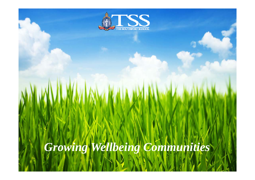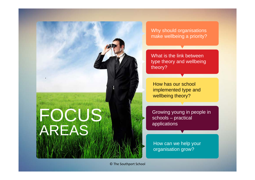

Why should organisations make wellbeing a priority?

What is the link between type theory and wellbeing theory?

How has our school implemented type and wellbeing theory?

Growing young in people in schools – practical applications

How can we help your organisation grow?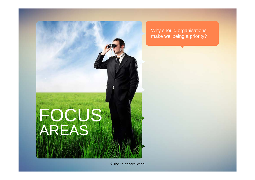

Why should organisations make wellbeing a priority?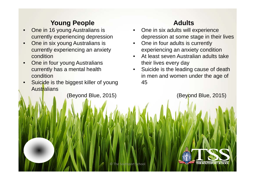# **Young People**

- • One in 16 young Australians is currently experiencing depression
- • One in six young Australians is currently experiencing an anxiety condition
- • One in four young Australians currently has a mental health condition
- • Suicide is the biggest killer of young **Australians**

(Beyond Blue, 2015)

# **Adults**

- • One in six adults will experience depression at some stage in their lives
- • One in four adults is currently experiencing an anxiety condition
- • At least seven Australian adults take their lives every day
- $\bullet$  Suicide is the leading cause of death in men and women under the age of 45

(Beyond Blue, 2015)

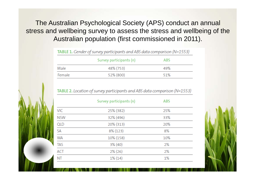The Australian Psychological Society (APS) conduct an annual stress and wellbeing survey to assess the stress and wellbeing of the Australian population (first commissioned in 2011).

|        | Survey participants (n) | <b>ABS</b> |  |
|--------|-------------------------|------------|--|
| Male   | 48% (753)               | 49%        |  |
| Female | 52% (800)               | 51%        |  |

**TABLE 1.** Gender of survey participants and ABS data comparison (N=1553)

#### TABLE 2. Location of survey participants and ABS data comparison (N=1553)

|            | Survey participants (n) | <b>ABS</b> |  |
|------------|-------------------------|------------|--|
| ЛC         | 25% (382)               | 25%        |  |
| <b>NSW</b> | 32% (496)               | 33%        |  |
| JΓD        | 20% (313)               | 20%        |  |
| šА         | 8% (123)                | 8%         |  |
| NΑ         | 10% (158)               | 10%        |  |
| TAS        | 3% (40)                 | 2%         |  |
| ACT        | $2\%$ (26)              | 2%         |  |
| ۷T         | $1\%$ (14)              | 1%         |  |
|            |                         |            |  |

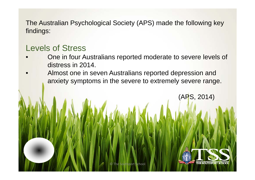The Australian Psychological Society (APS) made the following key findings:

# Levels of Stress

- • One in four Australians reported moderate to severe levels of distress in 2014.
- • Almost one in seven Australians reported depression and anxiety symptoms in the severe to extremely severe range.

©

The Southport School



(APS, 2014)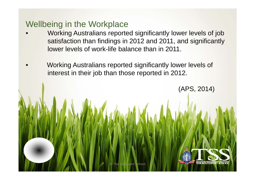# Wellbeing in the Workplace

- • Working Australians reported significantly lower levels of job satisfaction than findings in 2012 and 2011, and significantly lower levels of work-life balance than in 2011.
- • Working Australians reported significantly lower levels of interest in their job than those reported in 2012.

(APS, 2014)

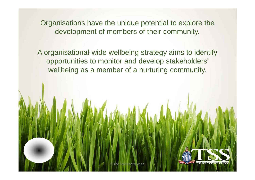Organisations have the unique potential to explore the development of members of their community.

A organisational-wide wellbeing strategy aims to identify opportunities to monitor and develop stakeholders' wellbeing as a member of a nurturing community.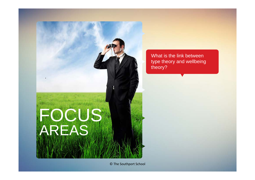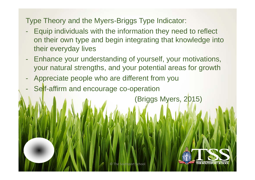Type Theory and the Myers-Briggs Type Indicator:

- - Equip individuals with the information they need to reflect on their own type and begin integrating that knowledge into their everyday lives
- $\equiv$  Enhance your understanding of yourself, your motivations, your natural strengths, and your potential areas for growth
- -Appreciate people who are different from you
- -Self-affirm and encourage co-operation

(Briggs Myers, 2015)

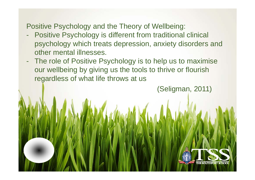Positive Psychology and the Theory of Wellbeing:

- - Positive Psychology is different from traditional clinical psychology which treats depression, anxiety disorders and other mental illnesses.
- - The role of Positive Psychology is to help us to maximise our wellbeing by giving us the tools to thrive or flourish regardless of what life throws at us

(Seligman, 2011)

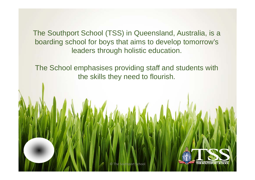The Southport School (TSS) in Queensland, Australia, is a boarding school for boys that aims to develop tomorrow's leaders through holistic education.

The School emphasises providing staff and students with the skills they need to flourish.

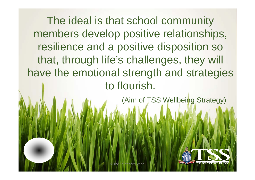The ideal is that school community members develop positive relationships, resilience and a positive disposition so that, through life's challenges, they will have the emotional strength and strategies to flourish.

(Aim of TSS Wellbeing Strategy)

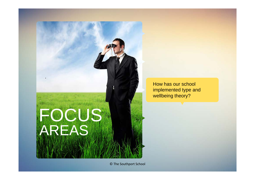

How has our school implemented type and wellbeing theory?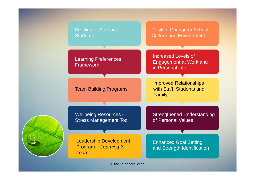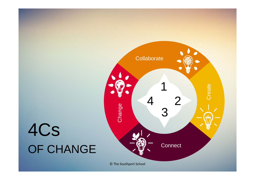# 4Cs OF CHANGE

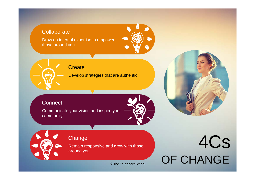#### Collaborate

Draw on internal expertise to empower those around you



**Create** 

Develop strategies that are authentic

#### **Connect**

Communicate your vision and inspire your community





Remain responsive and grow with those around you

© The Southport School

# Change<br>Remain responsive and grow with those<br>
and the set of the set of the set of the Set of the Set of the Set of the Set of the Set of the Set of the Set of the Set of the Set of the Set of the Set of the Set of the Set OF CHANGE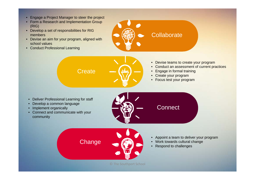- Engage a Project Manager to steer the project
- Form a Research and Implementation Group (RIG)
- Develop a set of responsibilities for RIG members
- Devise an aim for your program, aligned with school values

**Create** 

**Change** 

• Conduct Professional Learning



- Conduct an assessment of current practices
- •Engage in formal training
- Create your program

**Connect** 

**Collaborate** 

• Focus test your program

- Deliver Professional Learning for staff
- Develop a common language
- Implement organically
- Connect and communicate with your community





- Work towards cultural change
- Respond to challenges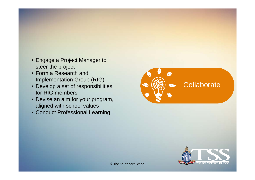- Engage a Project Manager to steer the project
- Form a Research and Implementation Group (RIG)
- Develop a set of responsibilities for RIG members
- Devise an aim for your program, aligned with school values
- Conduct Professional Learning



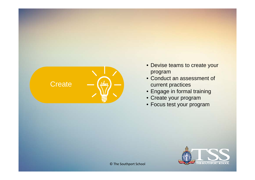

- Devise teams to create your program
- Conduct an assessment of current practices
- Engage in formal training
- Create your program
- Focus test your program

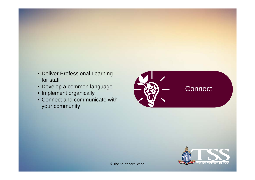- Deliver Professional Learning for staff
- Develop a common language
- Implement organically
- Connect and communicate with your community



## **Connect**

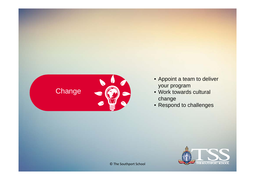

- Appoint a team to deliver your program
- Work towards cultural change
- Respond to challenges

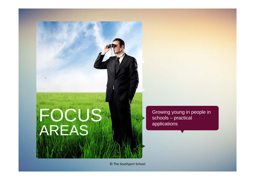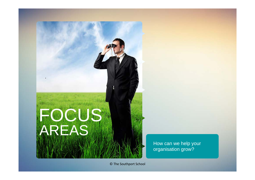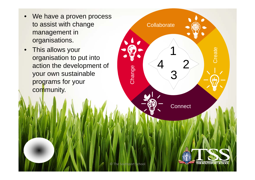- $\bullet$ We have a proven process to assist with change management in organisations.
- $\bullet$  This allows your organisation to put into action the development of your own sustainable programs for your community.

©

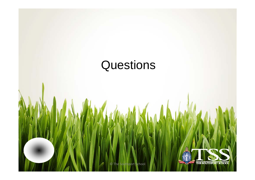